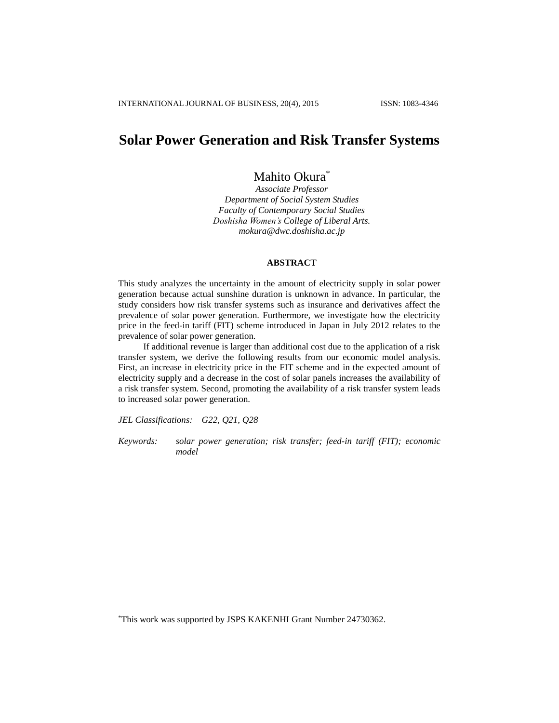# **Solar Power Generation and Risk Transfer Systems**

# Mahito Okura\*

*Associate Professor Department of Social System Studies Faculty of Contemporary Social Studies Doshisha Women's College of Liberal Arts. [mokura@dwc.doshisha.ac.jp](mailto:mokura@dwc.doshisha.ac.jp)*

# **ABSTRACT**

This study analyzes the uncertainty in the amount of electricity supply in solar power generation because actual sunshine duration is unknown in advance. In particular, the study considers how risk transfer systems such as insurance and derivatives affect the prevalence of solar power generation. Furthermore, we investigate how the electricity price in the feed-in tariff (FIT) scheme introduced in Japan in July 2012 relates to the prevalence of solar power generation.

If additional revenue is larger than additional cost due to the application of a risk transfer system, we derive the following results from our economic model analysis. First, an increase in electricity price in the FIT scheme and in the expected amount of electricity supply and a decrease in the cost of solar panels increases the availability of a risk transfer system. Second, promoting the availability of a risk transfer system leads to increased solar power generation.

*JEL Classifications: G22, Q21, Q28*

*Keywords: solar power generation; risk transfer; feed-in tariff (FIT); economic model*

\*This work was supported by JSPS KAKENHI Grant Number 24730362.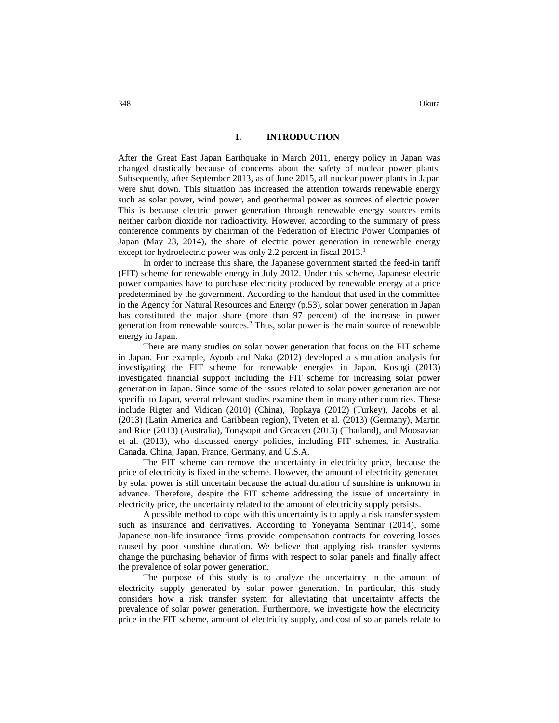After the Great East Japan Earthquake in March 2011, energy policy in Japan was changed drastically because of concerns about the safety of nuclear power plants. Subsequently, after September 2013, as of June 2015, all nuclear power plants in Japan were shut down. This situation has increased the attention towards renewable energy such as solar power, wind power, and geothermal power as sources of electric power. This is because electric power generation through renewable energy sources emits neither carbon dioxide nor radioactivity. However, according to the summary of press conference comments by chairman of the Federation of Electric Power Companies of Japan (May 23, 2014), the share of electric power generation in renewable energy except for hydroelectric power was only 2.2 percent in fiscal 2013.<sup>1</sup>

In order to increase this share, the Japanese government started the feed-in tariff (FIT) scheme for renewable energy in July 2012. Under this scheme, Japanese electric power companies have to purchase electricity produced by renewable energy at a price predetermined by the government. According to the handout that used in the committee in the Agency for Natural Resources and Energy (p.53), solar power generation in Japan has constituted the major share (more than 97 percent) of the increase in power generation from renewable sources.<sup>2</sup> Thus, solar power is the main source of renewable energy in Japan.

There are many studies on solar power generation that focus on the FIT scheme in Japan. For example, Ayoub and Naka (2012) developed a simulation analysis for investigating the FIT scheme for renewable energies in Japan. Kosugi (2013) investigated financial support including the FIT scheme for increasing solar power generation in Japan. Since some of the issues related to solar power generation are not specific to Japan, several relevant studies examine them in many other countries. These include Rigter and Vidican (2010) (China), Topkaya (2012) (Turkey), Jacobs et al. (2013) (Latin America and Caribbean region), Tveten et al. (2013) (Germany), Martin and Rice (2013) (Australia), Tongsopit and Greacen (2013) (Thailand), and Moosavian et al. (2013), who discussed energy policies, including FIT schemes, in Australia, Canada, China, Japan, France, Germany, and U.S.A.

The FIT scheme can remove the uncertainty in electricity price, because the price of electricity is fixed in the scheme. However, the amount of electricity generated by solar power is still uncertain because the actual duration of sunshine is unknown in advance. Therefore, despite the FIT scheme addressing the issue of uncertainty in electricity price, the uncertainty related to the amount of electricity supply persists.

A possible method to cope with this uncertainty is to apply a risk transfer system such as insurance and derivatives. According to Yoneyama Seminar (2014), some Japanese non-life insurance firms provide compensation contracts for covering losses caused by poor sunshine duration. We believe that applying risk transfer systems change the purchasing behavior of firms with respect to solar panels and finally affect the prevalence of solar power generation.

The purpose of this study is to analyze the uncertainty in the amount of electricity supply generated by solar power generation. In particular, this study considers how a risk transfer system for alleviating that uncertainty affects the prevalence of solar power generation. Furthermore, we investigate how the electricity price in the FIT scheme, amount of electricity supply, and cost of solar panels relate to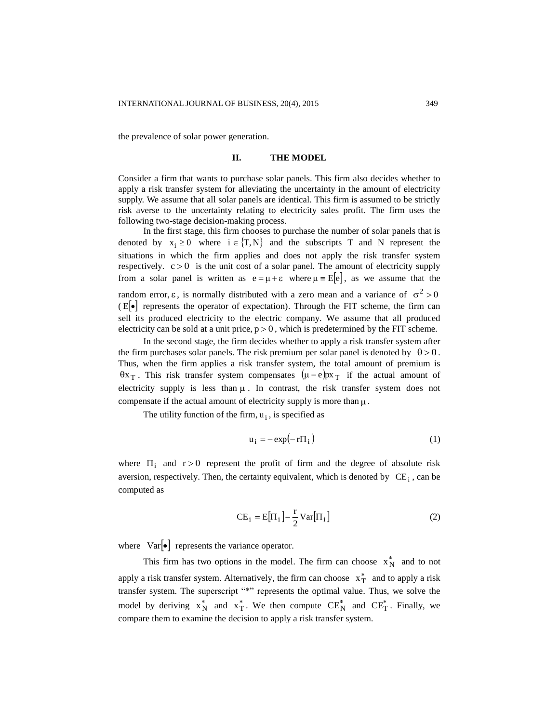the prevalence of solar power generation.

## **II. THE MODEL**

Consider a firm that wants to purchase solar panels. This firm also decides whether to apply a risk transfer system for alleviating the uncertainty in the amount of electricity supply. We assume that all solar panels are identical. This firm is assumed to be strictly risk averse to the uncertainty relating to electricity sales profit. The firm uses the following two-stage decision-making process.

In the first stage, this firm chooses to purchase the number of solar panels that is denoted by  $x_i \ge 0$  where  $i \in \{T, N\}$  and the subscripts T and N represent the situations in which the firm applies and does not apply the risk transfer system respectively.  $c > 0$  is the unit cost of a solar panel. The amount of electricity supply from a solar panel is written as  $e = \mu + \varepsilon$  where  $\mu = E[e]$ , as we assume that the random error,  $\varepsilon$ , is normally distributed with a zero mean and a variance of  $\sigma^2 > 0$  $E[\cdot]$  represents the operator of expectation). Through the FIT scheme, the firm can sell its produced electricity to the electric company. We assume that all produced electricity can be sold at a unit price,  $p > 0$ , which is predetermined by the FIT scheme.

In the second stage, the firm decides whether to apply a risk transfer system after the firm purchases solar panels. The risk premium per solar panel is denoted by  $\theta > 0$ . Thus, when the firm applies a risk transfer system, the total amount of premium is  $\theta x_T$ . This risk transfer system compensates  $(\mu - e)px_T$  if the actual amount of electricity supply is less than  $\mu$ . In contrast, the risk transfer system does not compensate if the actual amount of electricity supply is more than  $\mu$ .

The utility function of the firm,  $u_i$ , is specified as

$$
u_i = -\exp(-r\Pi_i)
$$
 (1)

where  $\Pi_i$  and  $r > 0$  represent the profit of firm and the degree of absolute risk aversion, respectively. Then, the certainty equivalent, which is denoted by  $CE_i$ , can be computed as

$$
CE_i = E[\Pi_i] - \frac{r}{2} \text{Var}[\Pi_i]
$$
 (2)

where  $Var[\bullet]$  represents the variance operator.

This firm has two options in the model. The firm can choose  $x_N^*$  and to not apply a risk transfer system. Alternatively, the firm can choose  $x_T^*$  and to apply a risk transfer system. The superscript "\*" represents the optimal value. Thus, we solve the model by deriving  $x_N^*$  and  $x_T^*$ . We then compute  $CE_N^*$  and  $CE_T^*$ . Finally, we compare them to examine the decision to apply a risk transfer system.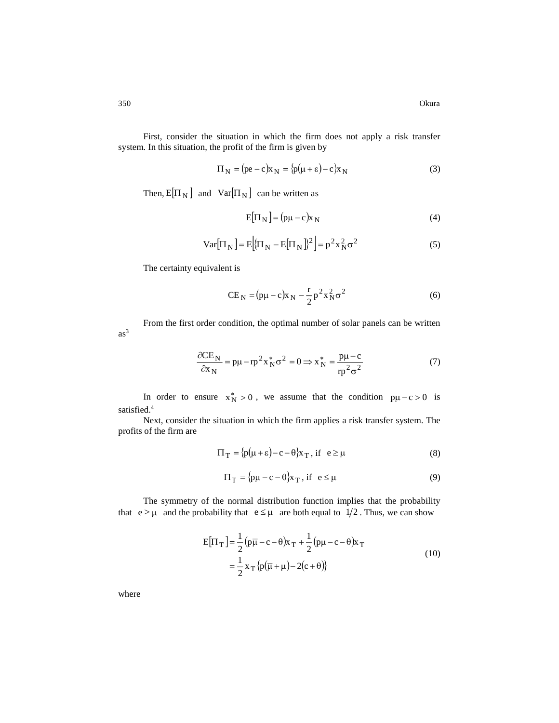First, consider the situation in which the firm does not apply a risk transfer system. In this situation, the profit of the firm is given by

$$
\Pi_{N} = (\text{pe} - \text{c})\text{x}_{N} = {\text{p}(\mu + \varepsilon) - \text{c}}\text{x}_{N}
$$
\n(3)

Then,  $E[\Pi_N]$  and  $Var[\Pi_N]$  can be written as

$$
E[\Pi_N] = (\mathbf{p}\mu - \mathbf{c})\mathbf{x}_N \tag{4}
$$

$$
\text{Var}[\Pi_N] = E\left[\{\Pi_N - E[\Pi_N]\}^2\right] = p^2 x_N^2 \sigma^2 \tag{5}
$$

The certainty equivalent is

$$
CE_{N} = (p\mu - c)x_{N} - \frac{r}{2}p^{2}x_{N}^{2}\sigma^{2}
$$
\n(6)

From the first order condition, the optimal number of solar panels can be written  $as<sup>3</sup>$ 

$$
\frac{\partial CE_N}{\partial x_N} = p\mu - rp^2 x_N^* \sigma^2 = 0 \Rightarrow x_N^* = \frac{p\mu - c}{rp^2 \sigma^2}
$$
(7)

In order to ensure  $x_N^* > 0$ , we assume that the condition  $p\mu - c > 0$  is satisfied. 4

Next, consider the situation in which the firm applies a risk transfer system. The profits of the firm are

$$
\Pi_T = \{p(\mu + \varepsilon) - c - \theta\}x_T, \text{ if } e \ge \mu \tag{8}
$$

$$
\Pi_T = {\rho\mu - c - \theta} x_T, \text{ if } e \le \mu
$$
\n(9)

The symmetry of the normal distribution function implies that the probability that  $e \ge \mu$  and the probability that  $e \le \mu$  are both equal to  $1/2$ . Thus, we can show

$$
E[\Pi_T] = \frac{1}{2} (p\overline{\mu} - c - \theta)x_T + \frac{1}{2} (p\mu - c - \theta)x_T
$$
  

$$
= \frac{1}{2} x_T \{p(\overline{\mu} + \mu) - 2(c + \theta)\}
$$
 (10)

where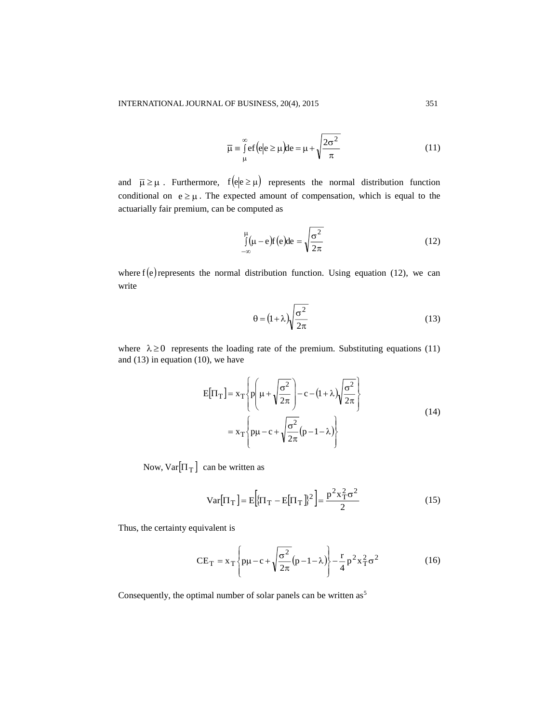$$
\overline{\mu} = \int_{\mu}^{\infty} ef(e|e \ge \mu)de = \mu + \sqrt{\frac{2\sigma^2}{\pi}}
$$
\n(11)

and  $\bar{\mu} \ge \mu$ . Furthermore,  $f(e|e \ge \mu)$  represents the normal distribution function conditional on  $e \geq \mu$ . The expected amount of compensation, which is equal to the actuarially fair premium, can be computed as

$$
\int_{-\infty}^{\mu} (\mu - e) f(e) de = \sqrt{\frac{\sigma^2}{2\pi}}
$$
\n(12)

where  $f(e)$  represents the normal distribution function. Using equation (12), we can write

$$
\theta = (1 + \lambda) \sqrt{\frac{\sigma^2}{2\pi}}
$$
 (13)

where  $\lambda \ge 0$  represents the loading rate of the premium. Substituting equations (11) and (13) in equation (10), we have

$$
E[\Pi_T] = x_T \left\{ p \left( \mu + \sqrt{\frac{\sigma^2}{2\pi}} \right) - c - (1 + \lambda) \sqrt{\frac{\sigma^2}{2\pi}} \right\}
$$
  
=  $x_T \left\{ p\mu - c + \sqrt{\frac{\sigma^2}{2\pi}} (p - 1 - \lambda) \right\}$  (14)

Now,  $Var[\Pi_T]$  can be written as

$$
\text{Var}[\Pi_T] = \text{E}\Big[\{\Pi_T - \text{E}[\Pi_T]\]^2\Big] = \frac{p^2 x_T^2 \sigma^2}{2} \tag{15}
$$

Thus, the certainty equivalent is

$$
CE_T = x_T \left\{ p\mu - c + \sqrt{\frac{\sigma^2}{2\pi}} (p - 1 - \lambda) \right\} - \frac{r}{4} p^2 x_T^2 \sigma^2
$$
 (16)

Consequently, the optimal number of solar panels can be written as<sup>5</sup>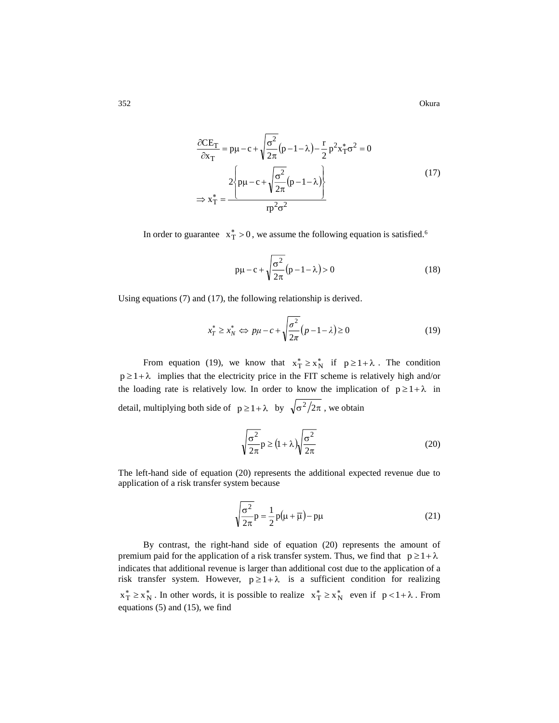352 Okura

$$
\frac{\partial \text{CE}_{\text{T}}}{\partial x_{\text{T}}} = p\mu - c + \sqrt{\frac{\sigma^2}{2\pi}(p - 1 - \lambda) - \frac{r}{2}p^2x_{\text{T}}^*\sigma^2} = 0
$$
\n
$$
\Rightarrow 2\left\{p\mu - c + \sqrt{\frac{\sigma^2}{2\pi}(p - 1 - \lambda)}\right\}
$$
\n
$$
\Rightarrow x_{\text{T}}^* = \frac{1}{p^2\sigma^2} \tag{17}
$$

In order to guarantee  $x_T^* > 0$ , we assume the following equation is satisfied.<sup>6</sup>

$$
p\mu - c + \sqrt{\frac{\sigma^2}{2\pi}}(p - 1 - \lambda) > 0
$$
 (18)

Using equations (7) and (17), the following relationship is derived.

$$
x_T^* \ge x_N^* \Leftrightarrow p\mu - c + \sqrt{\frac{\sigma^2}{2\pi}}(p - 1 - \lambda) \ge 0
$$
 (19)

From equation (19), we know that  $x_T^* \ge x_N^*$  if  $p \ge 1 + \lambda$ . The condition  $p \ge 1 + \lambda$  implies that the electricity price in the FIT scheme is relatively high and/or the loading rate is relatively low. In order to know the implication of  $p \geq 1 + \lambda$  in detail, multiplying both side of  $p \ge 1 + \lambda$  by  $\sqrt{\sigma^2/2\pi}$ , we obtain

$$
\sqrt{\frac{\sigma^2}{2\pi}}p \ge (1+\lambda)\sqrt{\frac{\sigma^2}{2\pi}}
$$
 (20)

The left-hand side of equation (20) represents the additional expected revenue due to application of a risk transfer system because

$$
\sqrt{\frac{\sigma^2}{2\pi}}\mathbf{p} = \frac{1}{2}\mathbf{p}(\mu + \overline{\mu}) - \mathbf{p}\mu
$$
 (21)

By contrast, the right-hand side of equation (20) represents the amount of premium paid for the application of a risk transfer system. Thus, we find that  $p \geq 1 + \lambda$ indicates that additional revenue is larger than additional cost due to the application of a risk transfer system. However,  $p \ge 1 + \lambda$  is a sufficient condition for realizing  $x_1^* \ge x_N^*$ . In other words, it is possible to realize  $x_T^* \ge x_N^*$  even if  $p < 1 + \lambda$ . From equations (5) and (15), we find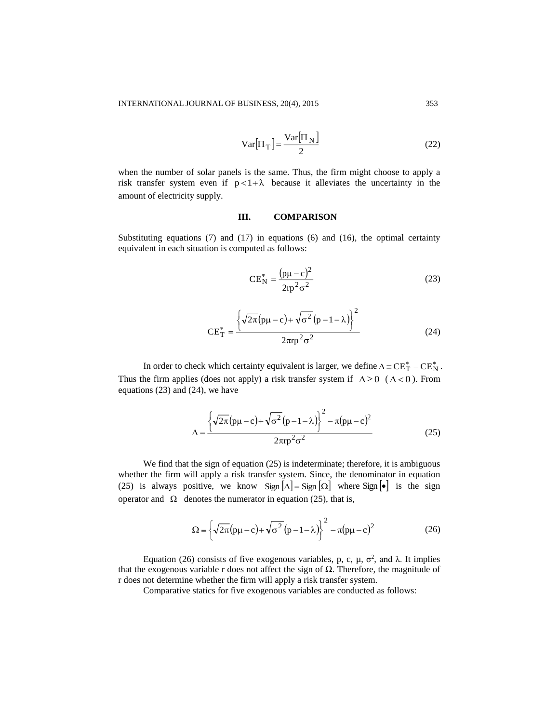$$
Var[\Pi_T] = \frac{Var[\Pi_N]}{2}
$$
 (22)

when the number of solar panels is the same. Thus, the firm might choose to apply a risk transfer system even if  $p < 1 + \lambda$  because it alleviates the uncertainty in the amount of electricity supply.

# **III. COMPARISON**

Substituting equations  $(7)$  and  $(17)$  in equations  $(6)$  and  $(16)$ , the optimal certainty equivalent in each situation is computed as follows:

$$
CE_N^* = \frac{(p\mu - c)^2}{2rp^2 \sigma^2}
$$
 (23)

$$
CE_T^* = \frac{\left\{ \sqrt{2\pi} (p\mu - c) + \sqrt{\sigma^2} (p - 1 - \lambda) \right\}^2}{2\pi r p^2 \sigma^2}
$$
(24)

In order to check which certainty equivalent is larger, we define  $\Delta = CE_T^* - CE_N^*$ . Thus the firm applies (does not apply) a risk transfer system if  $\Delta \ge 0$  ( $\Delta < 0$ ). From equations (23) and (24), we have

$$
\Delta = \frac{\left\{\sqrt{2\pi}(p\mu - c) + \sqrt{\sigma^2}(p - 1 - \lambda)\right\}^2 - \pi(p\mu - c)^2}{2\pi rp^2 \sigma^2}
$$
(25)

We find that the sign of equation (25) is indeterminate; therefore, it is ambiguous whether the firm will apply a risk transfer system. Since, the denominator in equation (25) is always positive, we know Sign  $[\Delta] =$  Sign  $[\Omega]$  where Sign  $[\bullet]$  is the sign operator and  $\Omega$  denotes the numerator in equation (25), that is,

$$
\Omega = \left\{ \sqrt{2\pi} \left( p\mu - c \right) + \sqrt{\sigma^2} \left( p - 1 - \lambda \right) \right\}^2 - \pi \left( p\mu - c \right)^2 \tag{26}
$$

Equation (26) consists of five exogenous variables, p, c, μ,  $\sigma^2$ , and λ. It implies that the exogenous variable r does not affect the sign of  $Ω$ . Therefore, the magnitude of r does not determine whether the firm will apply a risk transfer system.

Comparative statics for five exogenous variables are conducted as follows: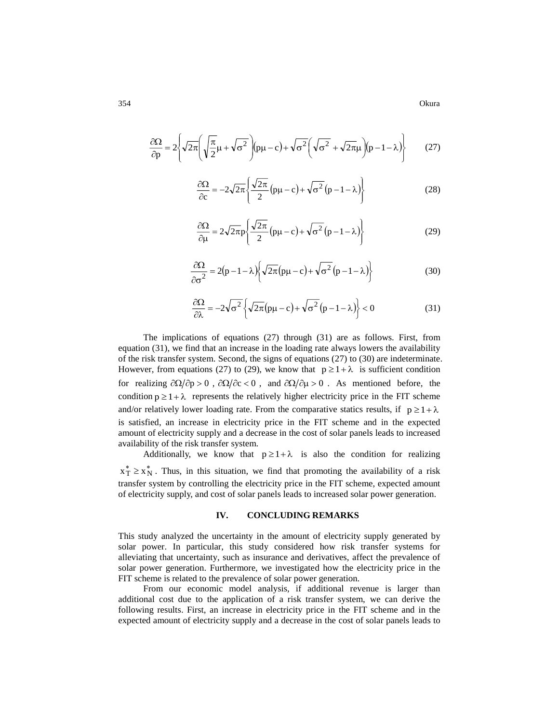$$
\frac{\partial \Omega}{\partial p} = 2 \left\{ \sqrt{2\pi} \left( \sqrt{\frac{\pi}{2}} \mu + \sqrt{\sigma^2} \right) (p\mu - c) + \sqrt{\sigma^2} \left( \sqrt{\sigma^2} + \sqrt{2\pi} \mu \right) (p - 1 - \lambda) \right\}
$$
(27)

$$
\frac{\partial \Omega}{\partial c} = -2\sqrt{2\pi} \left\{ \frac{\sqrt{2\pi}}{2} (p\mu - c) + \sqrt{\sigma^2} (p - 1 - \lambda) \right\}
$$
(28)

$$
\frac{\partial \Omega}{\partial \mu} = 2\sqrt{2\pi}p \left\{ \frac{\sqrt{2\pi}}{2} (p\mu - c) + \sqrt{\sigma^2} (p - 1 - \lambda) \right\}
$$
(29)

$$
\frac{\partial \Omega}{\partial \sigma^2} = 2(p - 1 - \lambda) \left\{ \sqrt{2\pi} (p\mu - c) + \sqrt{\sigma^2} (p - 1 - \lambda) \right\}
$$
(30)

$$
\frac{\partial \Omega}{\partial \lambda} = -2\sqrt{\sigma^2} \left\{ \sqrt{2\pi} (p\mu - c) + \sqrt{\sigma^2} (p - 1 - \lambda) \right\} < 0 \tag{31}
$$

The implications of equations (27) through (31) are as follows. First, from equation (31), we find that an increase in the loading rate always lowers the availability of the risk transfer system. Second, the signs of equations (27) to (30) are indeterminate. However, from equations (27) to (29), we know that  $p \ge 1 + \lambda$  is sufficient condition for realizing  $\partial \Omega / \partial p > 0$ ,  $\partial \Omega / \partial c < 0$ , and  $\partial \Omega / \partial \mu > 0$ . As mentioned before, the condition  $p \geq 1 + \lambda$  represents the relatively higher electricity price in the FIT scheme and/or relatively lower loading rate. From the comparative statics results, if  $p \geq 1 + \lambda$ is satisfied, an increase in electricity price in the FIT scheme and in the expected amount of electricity supply and a decrease in the cost of solar panels leads to increased availability of the risk transfer system.

Additionally, we know that  $p \ge 1 + \lambda$  is also the condition for realizing  $x_T^* \ge x_N^*$ . Thus, in this situation, we find that promoting the availability of a risk transfer system by controlling the electricity price in the FIT scheme, expected amount of electricity supply, and cost of solar panels leads to increased solar power generation.

### **IV. CONCLUDING REMARKS**

This study analyzed the uncertainty in the amount of electricity supply generated by solar power. In particular, this study considered how risk transfer systems for alleviating that uncertainty, such as insurance and derivatives, affect the prevalence of solar power generation. Furthermore, we investigated how the electricity price in the FIT scheme is related to the prevalence of solar power generation.

From our economic model analysis, if additional revenue is larger than additional cost due to the application of a risk transfer system, we can derive the following results. First, an increase in electricity price in the FIT scheme and in the expected amount of electricity supply and a decrease in the cost of solar panels leads to

354 Okura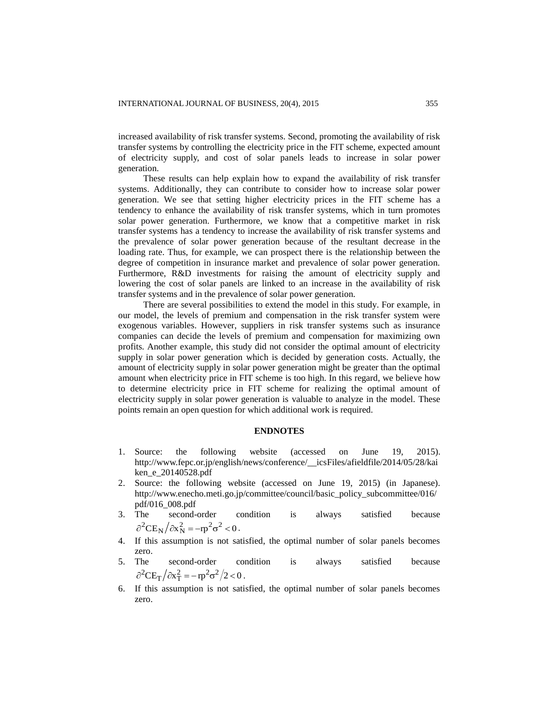increased availability of risk transfer systems. Second, promoting the availability of risk transfer systems by controlling the electricity price in the FIT scheme, expected amount of electricity supply, and cost of solar panels leads to increase in solar power generation.

These results can help explain how to expand the availability of risk transfer systems. Additionally, they can contribute to consider how to increase solar power generation. We see that setting higher electricity prices in the FIT scheme has a tendency to enhance the availability of risk transfer systems, which in turn promotes solar power generation. Furthermore, we know that a competitive market in risk transfer systems has a tendency to increase the availability of risk transfer systems and the prevalence of solar power generation because of the resultant decrease in the loading rate. Thus, for example, we can prospect there is the relationship between the degree of competition in insurance market and prevalence of solar power generation. Furthermore, R&D investments for raising the amount of electricity supply and lowering the cost of solar panels are linked to an increase in the availability of risk transfer systems and in the prevalence of solar power generation.

There are several possibilities to extend the model in this study. For example, in our model, the levels of premium and compensation in the risk transfer system were exogenous variables. However, suppliers in risk transfer systems such as insurance companies can decide the levels of premium and compensation for maximizing own profits. Another example, this study did not consider the optimal amount of electricity supply in solar power generation which is decided by generation costs. Actually, the amount of electricity supply in solar power generation might be greater than the optimal amount when electricity price in FIT scheme is too high. In this regard, we believe how to determine electricity price in FIT scheme for realizing the optimal amount of electricity supply in solar power generation is valuable to analyze in the model. These points remain an open question for which additional work is required.

#### **ENDNOTES**

- 1. Source: the following website (accessed on June 19, 2015). [http://www.fepc.or.jp/english/news/conference/\\_\\_icsFiles/afieldfile/2014/05/28/kai](http://www.fepc.or.jp/english/news/conference/__icsFiles/afieldfile/2014/05/28/kaiken_e_20140528.pdf) [ken\\_e\\_20140528.pdf](http://www.fepc.or.jp/english/news/conference/__icsFiles/afieldfile/2014/05/28/kaiken_e_20140528.pdf)
- 2. Source: the following website (accessed on June 19, 2015) (in Japanese). [http://www.enecho.meti.go.jp/committee/council/basic\\_policy\\_subcommittee/016/](http://www.enecho.meti.go.jp/committee/council/basic_policy_subcommittee/016/pdf/016_008.pdf) [pdf/016\\_008.pdf](http://www.enecho.meti.go.jp/committee/council/basic_policy_subcommittee/016/pdf/016_008.pdf)
- 3. The second-order condition is always satisfied because  $\partial^2 \text{CE}_N / \partial x_N^2 = -rp^2 \sigma^2 < 0$ .
- 4. If this assumption is not satisfied, the optimal number of solar panels becomes zero.
- 5. The second-order condition is always satisfied because  $\partial^2 C E_T / \partial x_T^2 = -rp^2 \sigma^2 / 2 < 0$ .
- 6. If this assumption is not satisfied, the optimal number of solar panels becomes zero.